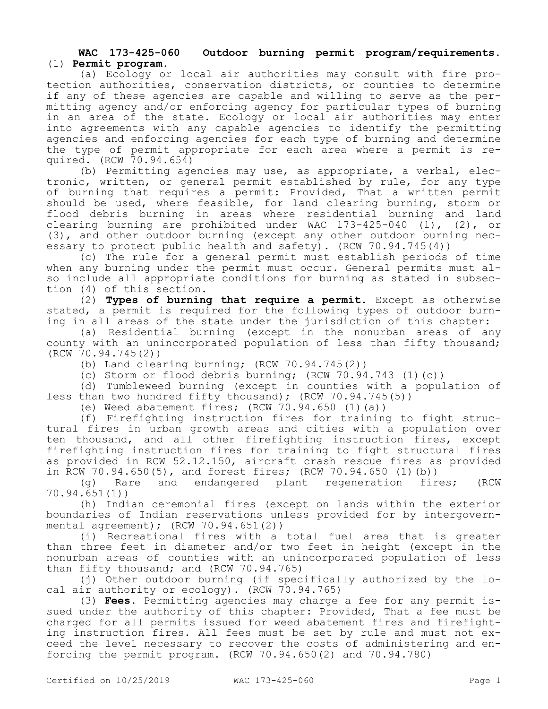## **WAC 173-425-060 Outdoor burning permit program/requirements.**  (1) **Permit program.**

(a) Ecology or local air authorities may consult with fire protection authorities, conservation districts, or counties to determine if any of these agencies are capable and willing to serve as the permitting agency and/or enforcing agency for particular types of burning in an area of the state. Ecology or local air authorities may enter into agreements with any capable agencies to identify the permitting agencies and enforcing agencies for each type of burning and determine the type of permit appropriate for each area where a permit is required. (RCW 70.94.654)

(b) Permitting agencies may use, as appropriate, a verbal, electronic, written, or general permit established by rule, for any type of burning that requires a permit: Provided, That a written permit should be used, where feasible, for land clearing burning, storm or flood debris burning in areas where residential burning and land clearing burning are prohibited under WAC 173-425-040 (1), (2), or (3), and other outdoor burning (except any other outdoor burning necessary to protect public health and safety). (RCW 70.94.745(4))

(c) The rule for a general permit must establish periods of time when any burning under the permit must occur. General permits must also include all appropriate conditions for burning as stated in subsection (4) of this section.

(2) **Types of burning that require a permit.** Except as otherwise stated, a permit is required for the following types of outdoor burning in all areas of the state under the jurisdiction of this chapter:

(a) Residential burning (except in the nonurban areas of any county with an unincorporated population of less than fifty thousand; (RCW 70.94.745(2))

(b) Land clearing burning; (RCW 70.94.745(2))

(c) Storm or flood debris burning; (RCW 70.94.743 (1)(c))

(d) Tumbleweed burning (except in counties with a population of less than two hundred fifty thousand); (RCW 70.94.745(5))

(e) Weed abatement fires; (RCW 70.94.650 (1)(a))

(f) Firefighting instruction fires for training to fight structural fires in urban growth areas and cities with a population over ten thousand, and all other firefighting instruction fires, except firefighting instruction fires for training to fight structural fires as provided in RCW 52.12.150, aircraft crash rescue fires as provided in RCW 70.94.650(5), and forest fires; (RCW 70.94.650 (1)(b))

(g) Rare and endangered plant regeneration fires; (RCW 70.94.651(1))

(h) Indian ceremonial fires (except on lands within the exterior boundaries of Indian reservations unless provided for by intergovernmental agreement); (RCW 70.94.651(2))

(i) Recreational fires with a total fuel area that is greater than three feet in diameter and/or two feet in height (except in the nonurban areas of counties with an unincorporated population of less than fifty thousand; and (RCW 70.94.765)

(j) Other outdoor burning (if specifically authorized by the local air authority or ecology). (RCW 70.94.765)

(3) **Fees.** Permitting agencies may charge a fee for any permit issued under the authority of this chapter: Provided, That a fee must be charged for all permits issued for weed abatement fires and firefighting instruction fires. All fees must be set by rule and must not exceed the level necessary to recover the costs of administering and enforcing the permit program. (RCW 70.94.650(2) and 70.94.780)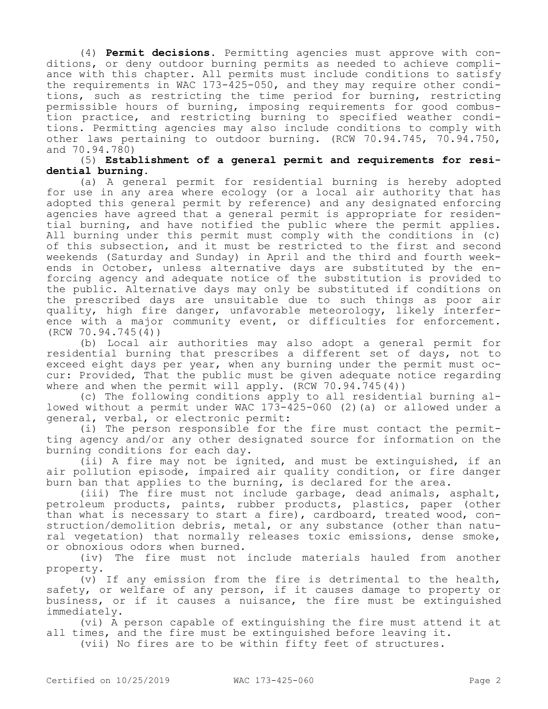(4) **Permit decisions.** Permitting agencies must approve with conditions, or deny outdoor burning permits as needed to achieve compliance with this chapter. All permits must include conditions to satisfy the requirements in WAC 173-425-050, and they may require other conditions, such as restricting the time period for burning, restricting permissible hours of burning, imposing requirements for good combustion practice, and restricting burning to specified weather conditions. Permitting agencies may also include conditions to comply with other laws pertaining to outdoor burning. (RCW 70.94.745, 70.94.750, and 70.94.780)

## (5) **Establishment of a general permit and requirements for residential burning.**

(a) A general permit for residential burning is hereby adopted for use in any area where ecology (or a local air authority that has adopted this general permit by reference) and any designated enforcing agencies have agreed that a general permit is appropriate for residential burning, and have notified the public where the permit applies. All burning under this permit must comply with the conditions in (c) of this subsection, and it must be restricted to the first and second weekends (Saturday and Sunday) in April and the third and fourth weekends in October, unless alternative days are substituted by the enforcing agency and adequate notice of the substitution is provided to the public. Alternative days may only be substituted if conditions on the prescribed days are unsuitable due to such things as poor air quality, high fire danger, unfavorable meteorology, likely interference with a major community event, or difficulties for enforcement. (RCW 70.94.745(4))

(b) Local air authorities may also adopt a general permit for residential burning that prescribes a different set of days, not to exceed eight days per year, when any burning under the permit must occur: Provided, That the public must be given adequate notice regarding where and when the permit will apply.  $(RCW 70.94.745(4))$ 

(c) The following conditions apply to all residential burning allowed without a permit under WAC 173-425-060 (2)(a) or allowed under a general, verbal, or electronic permit:

(i) The person responsible for the fire must contact the permitting agency and/or any other designated source for information on the burning conditions for each day.

(ii) A fire may not be ignited, and must be extinguished, if an air pollution episode, impaired air quality condition, or fire danger burn ban that applies to the burning, is declared for the area.

(iii) The fire must not include garbage, dead animals, asphalt, petroleum products, paints, rubber products, plastics, paper (other than what is necessary to start a fire), cardboard, treated wood, construction/demolition debris, metal, or any substance (other than natural vegetation) that normally releases toxic emissions, dense smoke, or obnoxious odors when burned.

(iv) The fire must not include materials hauled from another property.

(v) If any emission from the fire is detrimental to the health, safety, or welfare of any person, if it causes damage to property or business, or if it causes a nuisance, the fire must be extinguished immediately.

(vi) A person capable of extinguishing the fire must attend it at all times, and the fire must be extinguished before leaving it.

(vii) No fires are to be within fifty feet of structures.